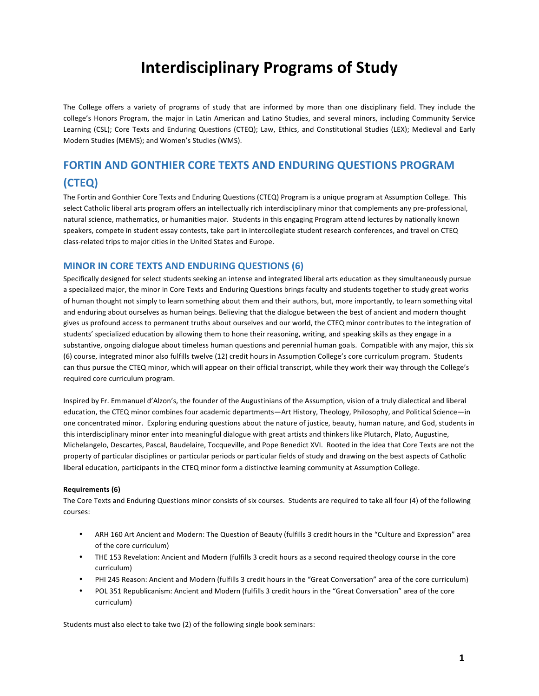## **Interdisciplinary Programs of Study**

The College offers a variety of programs of study that are informed by more than one disciplinary field. They include the college's Honors Program, the major in Latin American and Latino Studies, and several minors, including Community Service Learning (CSL); Core Texts and Enduring Questions (CTEQ); Law, Ethics, and Constitutional Studies (LEX); Medieval and Early Modern Studies (MEMS); and Women's Studies (WMS).

## **FORTIN AND GONTHIER CORE TEXTS AND ENDURING QUESTIONS PROGRAM (CTEQ)**

The Fortin and Gonthier Core Texts and Enduring Questions (CTEQ) Program is a unique program at Assumption College. This select Catholic liberal arts program offers an intellectually rich interdisciplinary minor that complements any pre-professional, natural science, mathematics, or humanities major. Students in this engaging Program attend lectures by nationally known speakers, compete in student essay contests, take part in intercollegiate student research conferences, and travel on CTEQ class-related trips to major cities in the United States and Europe.

## **MINOR IN CORE TEXTS AND ENDURING QUESTIONS (6)**

Specifically designed for select students seeking an intense and integrated liberal arts education as they simultaneously pursue a specialized major, the minor in Core Texts and Enduring Questions brings faculty and students together to study great works of human thought not simply to learn something about them and their authors, but, more importantly, to learn something vital and enduring about ourselves as human beings. Believing that the dialogue between the best of ancient and modern thought gives us profound access to permanent truths about ourselves and our world, the CTEQ minor contributes to the integration of students' specialized education by allowing them to hone their reasoning, writing, and speaking skills as they engage in a substantive, ongoing dialogue about timeless human questions and perennial human goals. Compatible with any major, this six (6) course, integrated minor also fulfills twelve (12) credit hours in Assumption College's core curriculum program. Students can thus pursue the CTEQ minor, which will appear on their official transcript, while they work their way through the College's required core curriculum program.

Inspired by Fr. Emmanuel d'Alzon's, the founder of the Augustinians of the Assumption, vision of a truly dialectical and liberal education, the CTEQ minor combines four academic departments—Art History, Theology, Philosophy, and Political Science—in one concentrated minor. Exploring enduring questions about the nature of justice, beauty, human nature, and God, students in this interdisciplinary minor enter into meaningful dialogue with great artists and thinkers like Plutarch, Plato, Augustine, Michelangelo, Descartes, Pascal, Baudelaire, Tocqueville, and Pope Benedict XVI. Rooted in the idea that Core Texts are not the property of particular disciplines or particular periods or particular fields of study and drawing on the best aspects of Catholic liberal education, participants in the CTEQ minor form a distinctive learning community at Assumption College.

## **Requirements (6)**

The Core Texts and Enduring Questions minor consists of six courses. Students are required to take all four (4) of the following courses:

- ARH 160 Art Ancient and Modern: The Question of Beauty (fulfills 3 credit hours in the "Culture and Expression" area of the core curriculum)
- THE 153 Revelation: Ancient and Modern (fulfills 3 credit hours as a second required theology course in the core curriculum)
- PHI 245 Reason: Ancient and Modern (fulfills 3 credit hours in the "Great Conversation" area of the core curriculum)
- POL 351 Republicanism: Ancient and Modern (fulfills 3 credit hours in the "Great Conversation" area of the core curriculum)

Students must also elect to take two (2) of the following single book seminars: